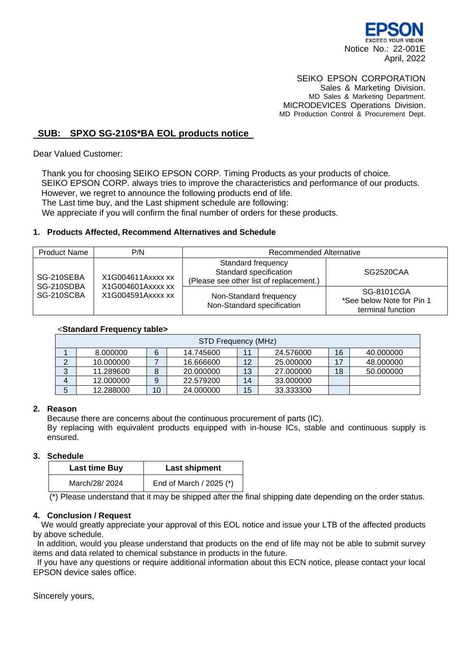

#### SEIKO EPSON CORPORATION Sales & Marketing Division.

MD Sales & Marketing Department. MICRODEVICES Operations Division. MD Production Control & Procurement Dept.

## **SUB: SPXO SG-210S\*BA EOL products notice**

Dear Valued Customer:

Thank you for choosing SEIKO EPSON CORP. Timing Products as your products of choice. SEIKO EPSON CORP. always tries to improve the characteristics and performance of our products. However, we regret to announce the following products end of life. The Last time buy, and the Last shipment schedule are following: We appreciate if you will confirm the final number of orders for these products.

## **1. Products Affected, Recommend Alternatives and Schedule**

| <b>Product Name</b>                    | P/N                                                         | Recommended Alternative                                                                 |                                                              |  |
|----------------------------------------|-------------------------------------------------------------|-----------------------------------------------------------------------------------------|--------------------------------------------------------------|--|
| SG-210SEBA<br>SG-210SDBA<br>SG-210SCBA | X1G004611Axxxx xx<br>X1G004601Axxxx xx<br>X1G004591Axxxx xx | Standard frequency<br>Standard specification<br>(Please see other list of replacement.) | SG2520CAA                                                    |  |
|                                        |                                                             | Non-Standard frequency<br>Non-Standard specification                                    | SG-8101CGA<br>*See below Note for Pin 1<br>terminal function |  |

#### <**Standard Frequency table>**

| STD Frequency (MHz) |           |    |           |    |           |    |           |
|---------------------|-----------|----|-----------|----|-----------|----|-----------|
|                     | 8.000000  | 6  | 14.745600 | 11 | 24.576000 | 16 | 40.000000 |
|                     | 10.000000 |    | 16.666600 | 12 | 25,000000 | 17 | 48.000000 |
| 3                   | 11.289600 |    | 20,000000 | 13 | 27.000000 | 18 | 50.000000 |
|                     | 12.000000 | 9  | 22,579200 | 14 | 33.000000 |    |           |
| 5                   | 12.288000 | 10 | 24,000000 | 15 | 33.333300 |    |           |

## **2. Reason**

Because there are concerns about the continuous procurement of parts (IC).

By replacing with equivalent products equipped with in-house ICs, stable and continuous supply is ensured.

## **3. Schedule**

| <b>Last time Buy</b> | Last shipment           |  |  |
|----------------------|-------------------------|--|--|
| March/28/ 2024       | End of March / 2025 (*) |  |  |

(\*) Please understand that it may be shipped after the final shipping date depending on the order status.

## **4. Conclusion / Request**

We would greatly appreciate your approval of this EOL notice and issue your LTB of the affected products by above schedule.

In addition, would you please understand that products on the end of life may not be able to submit survey items and data related to chemical substance in products in the future.

If you have any questions or require additional information about this ECN notice, please contact your local EPSON device sales office.

Sincerely yours,